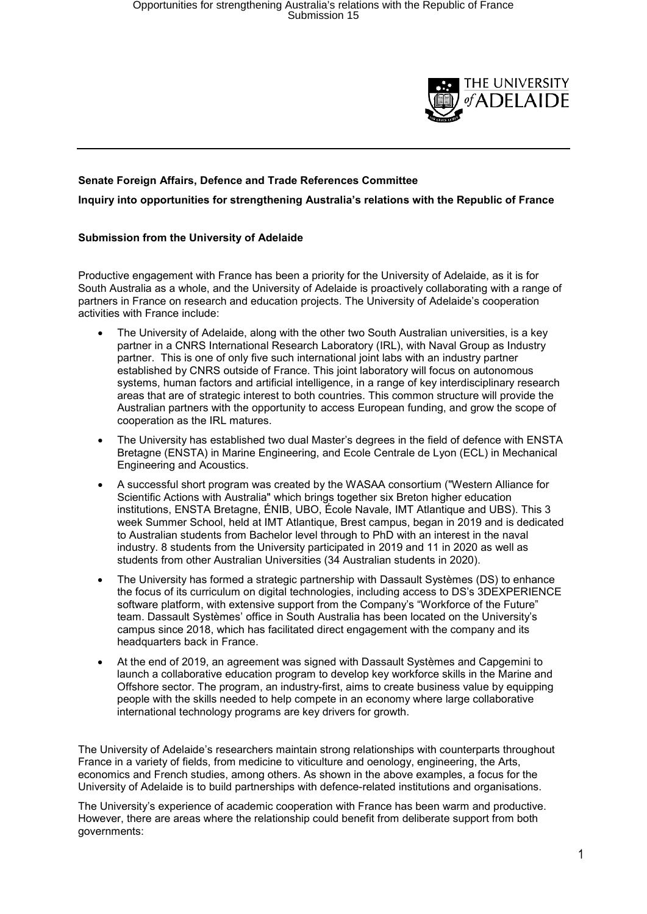

## **Senate Foreign Affairs, Defence and Trade References Committee Inquiry into opportunities for strengthening Australia's relations with the Republic of France**

## **Submission from the University of Adelaide**

Productive engagement with France has been a priority for the University of Adelaide, as it is for South Australia as a whole, and the University of Adelaide is proactively collaborating with a range of partners in France on research and education projects. The University of Adelaide's cooperation activities with France include:

- The University of Adelaide, along with the other two South Australian universities, is a key partner in a CNRS International Research Laboratory (IRL), with Naval Group as Industry partner. This is one of only five such international joint labs with an industry partner established by CNRS outside of France. This joint laboratory will focus on autonomous systems, human factors and artificial intelligence, in a range of key interdisciplinary research areas that are of strategic interest to both countries. This common structure will provide the Australian partners with the opportunity to access European funding, and grow the scope of cooperation as the IRL matures.
- The University has established two dual Master's degrees in the field of defence with ENSTA Bretagne (ENSTA) in Marine Engineering, and Ecole Centrale de Lyon (ECL) in Mechanical Engineering and Acoustics.
- A successful short program was created by the WASAA consortium ("Western Alliance for Scientific Actions with Australia" which brings together six Breton higher education institutions, ENSTA Bretagne, ÉNIB, UBO, École Navale, IMT Atlantique and UBS). This 3 week Summer School, held at IMT Atlantique, Brest campus, began in 2019 and is dedicated to Australian students from Bachelor level through to PhD with an interest in the naval industry. 8 students from the University participated in 2019 and 11 in 2020 as well as students from other Australian Universities (34 Australian students in 2020).
- The University has formed a strategic partnership with Dassault Systèmes (DS) to enhance the focus of its curriculum on digital technologies, including access to DS's 3DEXPERIENCE software platform, with extensive support from the Company's "Workforce of the Future" team. Dassault Systèmes' office in South Australia has been located on the University's campus since 2018, which has facilitated direct engagement with the company and its headquarters back in France.
- At the end of 2019, an agreement was signed with Dassault Systèmes and Capgemini to launch a collaborative education program to develop key workforce skills in the Marine and Offshore sector. The program, an industry-first, aims to create business value by equipping people with the skills needed to help compete in an economy where large collaborative international technology programs are key drivers for growth.

The University of Adelaide's researchers maintain strong relationships with counterparts throughout France in a variety of fields, from medicine to viticulture and oenology, engineering, the Arts, economics and French studies, among others. As shown in the above examples, a focus for the University of Adelaide is to build partnerships with defence-related institutions and organisations.

The University's experience of academic cooperation with France has been warm and productive. However, there are areas where the relationship could benefit from deliberate support from both governments: